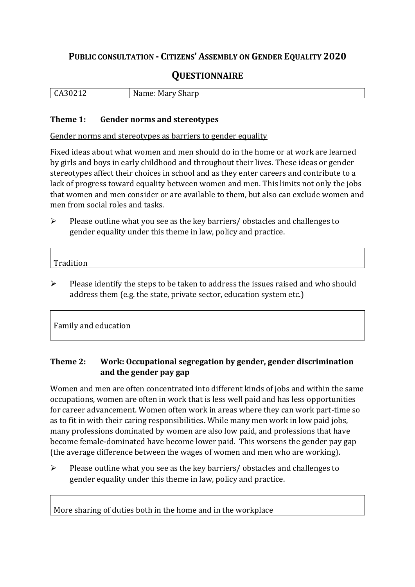## **PUBLIC CONSULTATION - CITIZENS' ASSEMBLY ON GENDER EQUALITY 2020**

# **QUESTIONNAIRE**

| $.3021$ <sup>~</sup><br>$\mathbf{v}$<br>ີ∽ | $-1$<br>N<br>Sharp<br>Mary<br>12ma<br>vallit. Iv |
|--------------------------------------------|--------------------------------------------------|
|                                            |                                                  |

#### **Theme 1: Gender norms and stereotypes**

Gender norms and stereotypes as barriers to gender equality

Fixed ideas about what women and men should do in the home or at work are learned by girls and boys in early childhood and throughout their lives. These ideas or gender stereotypes affect their choices in school and as they enter careers and contribute to a lack of progress toward equality between women and men. This limits not only the jobs that women and men consider or are available to them, but also can exclude women and men from social roles and tasks.

➢ Please outline what you see as the key barriers/ obstacles and challenges to gender equality under this theme in law, policy and practice.

| $T_{\rm max}$<br>.<br>Tradition |  |  |  |
|---------------------------------|--|--|--|
|                                 |  |  |  |

➢ Please identify the steps to be taken to address the issues raised and who should address them (e.g. the state, private sector, education system etc.)

Family and education

 $\overline{\Gamma}$ 

## **Theme 2: Work: Occupational segregation by gender, gender discrimination and the gender pay gap**

Women and men are often concentrated into different kinds of jobs and within the same occupations, women are often in work that is less well paid and has less opportunities for career advancement. Women often work in areas where they can work part-time so as to fit in with their caring responsibilities. While many men work in low paid jobs, many professions dominated by women are also low paid, and professions that have become female-dominated have become lower paid. This worsens the gender pay gap (the average difference between the wages of women and men who are working).

➢ Please outline what you see as the key barriers/ obstacles and challenges to gender equality under this theme in law, policy and practice.

More sharing of duties both in the home and in the workplace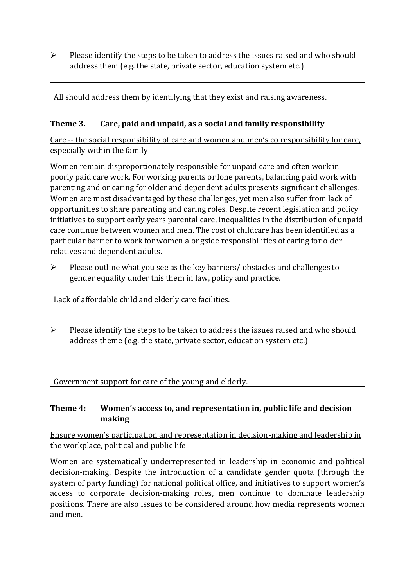$\triangleright$  Please identify the steps to be taken to address the issues raised and who should address them (e.g. the state, private sector, education system etc.)

All should address them by identifying that they exist and raising awareness.

## **Theme 3. Care, paid and unpaid, as a social and family responsibility**

Care -- the social responsibility of care and women and men's co responsibility for care, especially within the family

Women remain disproportionately responsible for unpaid care and often work in poorly paid care work. For working parents or [lone parents,](https://aran.library.nuigalway.ie/bitstream/handle/10379/6044/Millar_and_Crosse_Activation_Report.pdf?sequence=1&isAllowed=y) balancing paid work with parenting and or caring for older and dependent adults presents significant challenges. Women are [most disadvantaged by these challenges,](https://eige.europa.eu/gender-equality-index/game/IE/W) yet men also suffer from lack of opportunities to share parenting and caring roles. Despite recent legislation and policy initiatives to support early years parental care, [inequalities in the distribution of unpaid](https://www.ihrec.ie/app/uploads/2019/07/Caring-and-Unpaid-Work-in-Ireland_Final.pdf)  [care](https://www.ihrec.ie/app/uploads/2019/07/Caring-and-Unpaid-Work-in-Ireland_Final.pdf) continue between women and men. The cost of childcare has been identified as a particular barrier to work for women alongside responsibilities of caring for older relatives and dependent adults.

➢ Please outline what you see as the key barriers/ obstacles and challenges to gender equality under this them in law, policy and practice.

Lack of affordable child and elderly care facilities.

➢ Please identify the steps to be taken to address the issues raised and who should address theme (e.g. the state, private sector, education system etc.)

Government support for care of the young and elderly.

## **Theme 4: Women's access to, and representation in, public life and decision making**

Ensure women's participation and representation in decision-making and leadership in the workplace, political and public life

Women are systematically underrepresented in leadership in [economic](https://eige.europa.eu/gender-equality-index/2019/compare-countries/power/2/bar) and [political](https://eige.europa.eu/gender-equality-index/2019/compare-countries/power/1/bar)  [decision-](https://eige.europa.eu/gender-equality-index/2019/compare-countries/power/1/bar)making. Despite the introduction of a candidate gender quota (through the system of party funding) for national political office, and [initiatives](https://betterbalance.ie/) to support women's access to corporate decision-making roles, men continue to dominate leadership positions. There are also issues to be considered around how media represents women and men.